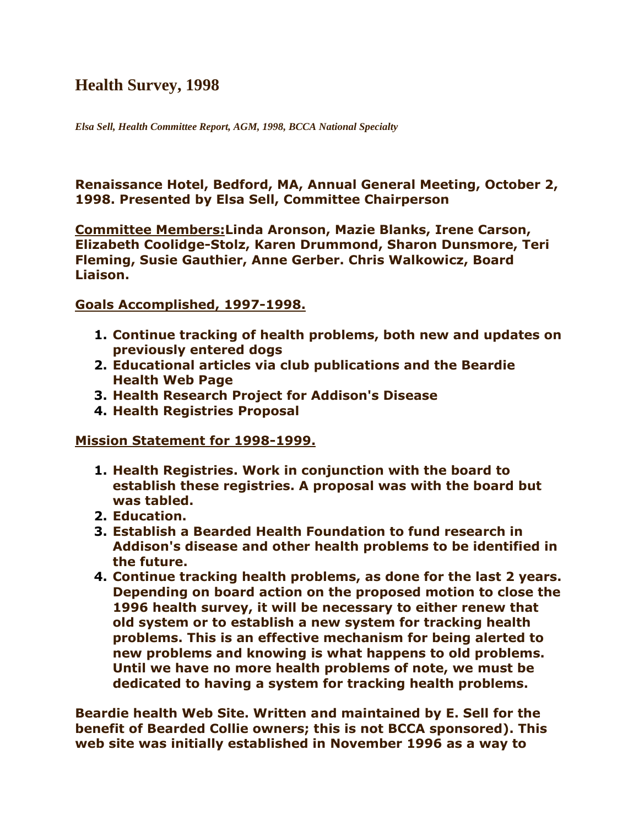### **Health Survey, 1998**

*Elsa Sell, Health Committee Report, AGM, 1998, BCCA National Specialty*

**Renaissance Hotel, Bedford, MA, Annual General Meeting, October 2, 1998. Presented by Elsa Sell, Committee Chairperson**

**Committee Members:Linda Aronson, Mazie Blanks, Irene Carson, Elizabeth Coolidge-Stolz, Karen Drummond, Sharon Dunsmore, Teri Fleming, Susie Gauthier, Anne Gerber. Chris Walkowicz, Board Liaison.**

#### **Goals Accomplished, 1997-1998.**

- **1. Continue tracking of health problems, both new and updates on previously entered dogs**
- **2. Educational articles via club publications and the Beardie Health Web Page**
- **3. Health Research Project for Addison's Disease**
- **4. Health Registries Proposal**

#### **Mission Statement for 1998-1999.**

- **1. Health Registries. Work in conjunction with the board to establish these registries. A proposal was with the board but was tabled.**
- **2. Education.**
- **3. Establish a Bearded Health Foundation to fund research in Addison's disease and other health problems to be identified in the future.**
- **4. Continue tracking health problems, as done for the last 2 years. Depending on board action on the proposed motion to close the 1996 health survey, it will be necessary to either renew that old system or to establish a new system for tracking health problems. This is an effective mechanism for being alerted to new problems and knowing is what happens to old problems. Until we have no more health problems of note, we must be dedicated to having a system for tracking health problems.**

**Beardie health Web Site. Written and maintained by E. Sell for the benefit of Bearded Collie owners; this is not BCCA sponsored). This web site was initially established in November 1996 as a way to**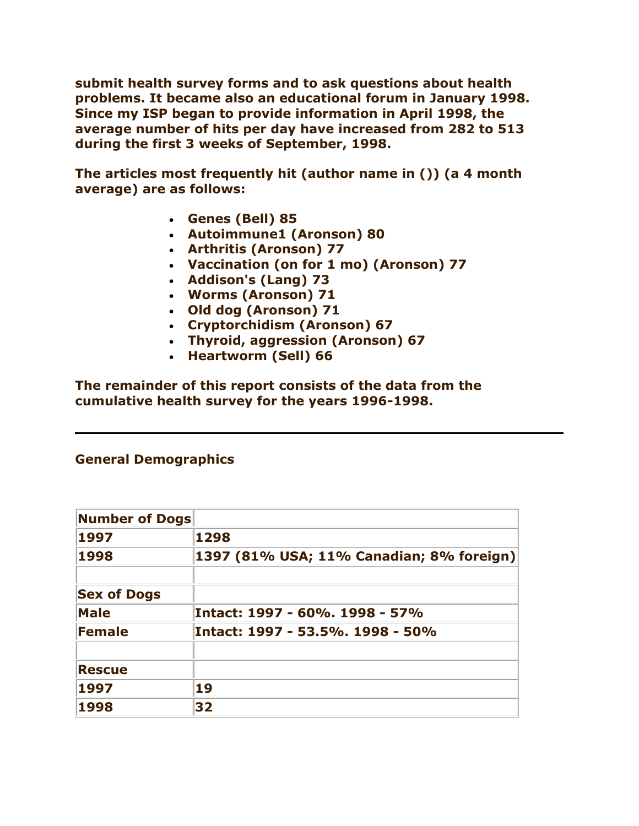**submit health survey forms and to ask questions about health problems. It became also an educational forum in January 1998. Since my ISP began to provide information in April 1998, the average number of hits per day have increased from 282 to 513 during the first 3 weeks of September, 1998.**

**The articles most frequently hit (author name in ()) (a 4 month average) are as follows:**

- **Genes (Bell) 85**
- **Autoimmune1 (Aronson) 80**
- **Arthritis (Aronson) 77**
- **Vaccination (on for 1 mo) (Aronson) 77**
- **Addison's (Lang) 73**
- **Worms (Aronson) 71**
- **Old dog (Aronson) 71**
- **Cryptorchidism (Aronson) 67**
- **Thyroid, aggression (Aronson) 67**
- **Heartworm (Sell) 66**

**The remainder of this report consists of the data from the cumulative health survey for the years 1996-1998.**

### **General Demographics**

| <b>Number of Dogs</b> |                                          |
|-----------------------|------------------------------------------|
| 1997                  | 1298                                     |
| 1998                  | 1397 (81% USA; 11% Canadian; 8% foreign) |
|                       |                                          |
| <b>Sex of Dogs</b>    |                                          |
| <b>Male</b>           | Intact: 1997 - 60%, 1998 - 57%           |
| Female                | Intact: 1997 - 53.5%, 1998 - 50%         |
|                       |                                          |
| <b>Rescue</b>         |                                          |
| 1997                  | 19                                       |
| 1998                  | 32                                       |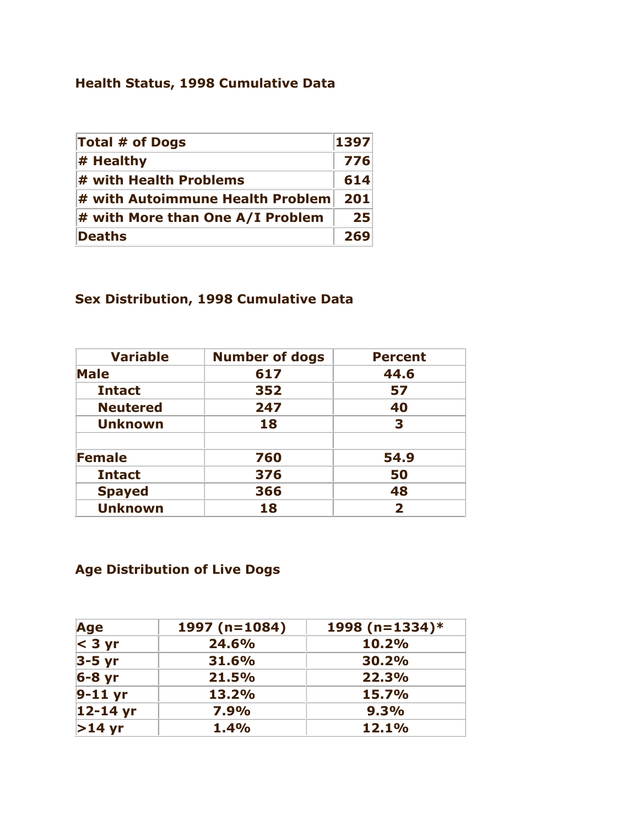# **Health Status, 1998 Cumulative Data**

| <b>Total # of Dogs</b>           | 1397 |
|----------------------------------|------|
| $\#$ Healthy                     | 776  |
| $\#$ with Health Problems        | 614  |
| # with Autoimmune Health Problem | 201  |
| # with More than One A/I Problem | 25   |
| Deaths                           | 269  |

# **Sex Distribution, 1998 Cumulative Data**

| <b>Variable</b> | <b>Number of dogs</b> | <b>Percent</b>          |
|-----------------|-----------------------|-------------------------|
| <b>Male</b>     | 617                   | 44.6                    |
| <b>Intact</b>   | 352                   | 57                      |
| <b>Neutered</b> | 247                   | 40                      |
| <b>Unknown</b>  | 18                    | 3                       |
| <b>Female</b>   | 760                   | 54.9                    |
| <b>Intact</b>   | 376                   | 50                      |
| <b>Spayed</b>   | 366                   | 48                      |
| <b>Unknown</b>  | 18                    | $\overline{\mathbf{2}}$ |

# **Age Distribution of Live Dogs**

| Age        | 1997 ( $n=1084$ ) | 1998 (n=1334) $*$ |
|------------|-------------------|-------------------|
| $<$ 3 yr   | 24.6%             | 10.2%             |
| $3-5$ yr   | 31.6%             | 30.2%             |
| $6-8$ yr   | 21.5%             | 22.3%             |
| $9-11$ yr  | 13.2%             | 15.7%             |
| $12-14$ yr | 7.9%              | 9.3%              |
| $>14$ yr   | 1.4%              | 12.1%             |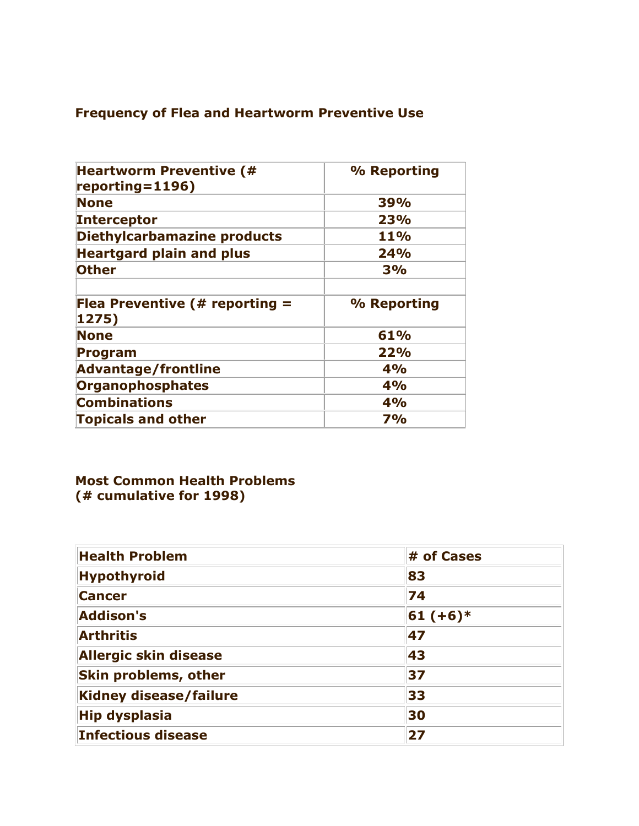# **Frequency of Flea and Heartworm Preventive Use**

| <b>Heartworm Preventive (#</b><br>$reporting = 1196)$ | % Reporting |
|-------------------------------------------------------|-------------|
| <b>None</b>                                           | 39%         |
| <b>Interceptor</b>                                    | 23%         |
| Diethylcarbamazine products                           | 11%         |
| <b>Heartgard plain and plus</b>                       | 24%         |
| <b>Other</b>                                          | 3%          |
| Flea Preventive (# reporting $=$<br>1275)             | % Reporting |
| <b>None</b>                                           | 61%         |
| <b>Program</b>                                        | 22%         |
| <b>Advantage/frontline</b>                            | 4%          |
| <b>Organophosphates</b>                               | 4%          |
| <b>Combinations</b>                                   | 4%          |
| <b>Topicals and other</b>                             | <b>7%</b>   |

### **Most Common Health Problems (# cumulative for 1998)**

| <b>Health Problem</b>         | # of Cases |
|-------------------------------|------------|
| <b>Hypothyroid</b>            | 83         |
| <b>Cancer</b>                 | 74         |
| <b>Addison's</b>              | $61 (+6)*$ |
| <b>Arthritis</b>              | 47         |
| <b>Allergic skin disease</b>  | 43         |
| <b>Skin problems, other</b>   | 37         |
| <b>Kidney disease/failure</b> | 33         |
| <b>Hip dysplasia</b>          | 30         |
| <b>Infectious disease</b>     | 27         |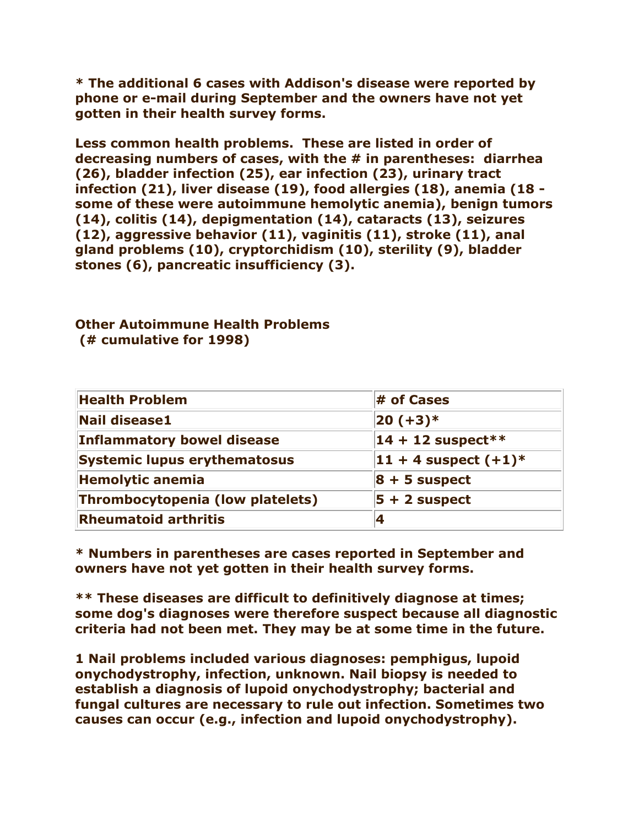**\* The additional 6 cases with Addison's disease were reported by phone or e-mail during September and the owners have not yet gotten in their health survey forms.**

**Less common health problems. These are listed in order of decreasing numbers of cases, with the # in parentheses: diarrhea (26), bladder infection (25), ear infection (23), urinary tract infection (21), liver disease (19), food allergies (18), anemia (18 some of these were autoimmune hemolytic anemia), benign tumors (14), colitis (14), depigmentation (14), cataracts (13), seizures (12), aggressive behavior (11), vaginitis (11), stroke (11), anal gland problems (10), cryptorchidism (10), sterility (9), bladder stones (6), pancreatic insufficiency (3).**

#### **Other Autoimmune Health Problems (# cumulative for 1998)**

| <b>Health Problem</b>               | $#$ of Cases              |
|-------------------------------------|---------------------------|
| <b>Nail disease1</b>                | $ 20 (+3)*$               |
| <b>Inflammatory bowel disease</b>   | $14 + 12$ suspect**       |
| <b>Systemic lupus erythematosus</b> | $11 + 4$ suspect $(+1)^*$ |
| <b>Hemolytic anemia</b>             | $8 + 5$ suspect           |
| Thrombocytopenia (low platelets)    | $5 + 2$ suspect           |
| <b>Rheumatoid arthritis</b>         |                           |

**\* Numbers in parentheses are cases reported in September and owners have not yet gotten in their health survey forms.**

**\*\* These diseases are difficult to definitively diagnose at times; some dog's diagnoses were therefore suspect because all diagnostic criteria had not been met. They may be at some time in the future.**

**1 Nail problems included various diagnoses: pemphigus, lupoid onychodystrophy, infection, unknown. Nail biopsy is needed to establish a diagnosis of lupoid onychodystrophy; bacterial and fungal cultures are necessary to rule out infection. Sometimes two causes can occur (e.g., infection and lupoid onychodystrophy).**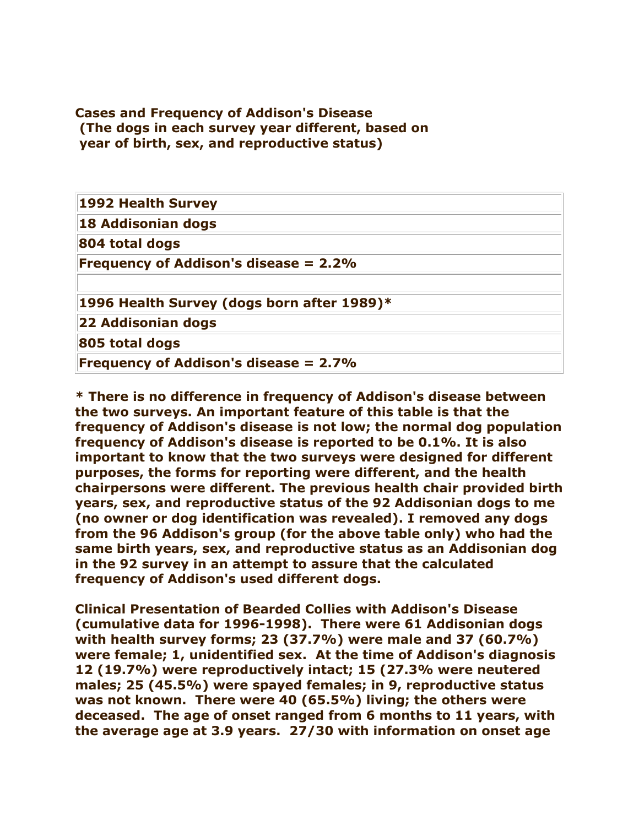#### **Cases and Frequency of Addison's Disease (The dogs in each survey year different, based on year of birth, sex, and reproductive status)**

| 1992 Health Survey                           |  |
|----------------------------------------------|--|
| 18 Addisonian dogs                           |  |
| 804 total dogs                               |  |
| <b>Frequency of Addison's disease = 2.2%</b> |  |
| 1996 Health Survey (dogs born after 1989)*   |  |
| 22 Addisonian dogs                           |  |
| 805 total dogs                               |  |
| <b>Frequency of Addison's disease = 2.7%</b> |  |

**\* There is no difference in frequency of Addison's disease between the two surveys. An important feature of this table is that the frequency of Addison's disease is not low; the normal dog population frequency of Addison's disease is reported to be 0.1%. It is also important to know that the two surveys were designed for different purposes, the forms for reporting were different, and the health chairpersons were different. The previous health chair provided birth years, sex, and reproductive status of the 92 Addisonian dogs to me (no owner or dog identification was revealed). I removed any dogs from the 96 Addison's group (for the above table only) who had the same birth years, sex, and reproductive status as an Addisonian dog in the 92 survey in an attempt to assure that the calculated frequency of Addison's used different dogs.**

**Clinical Presentation of Bearded Collies with Addison's Disease (cumulative data for 1996-1998). There were 61 Addisonian dogs with health survey forms; 23 (37.7%) were male and 37 (60.7%) were female; 1, unidentified sex. At the time of Addison's diagnosis 12 (19.7%) were reproductively intact; 15 (27.3% were neutered males; 25 (45.5%) were spayed females; in 9, reproductive status was not known. There were 40 (65.5%) living; the others were deceased. The age of onset ranged from 6 months to 11 years, with the average age at 3.9 years. 27/30 with information on onset age**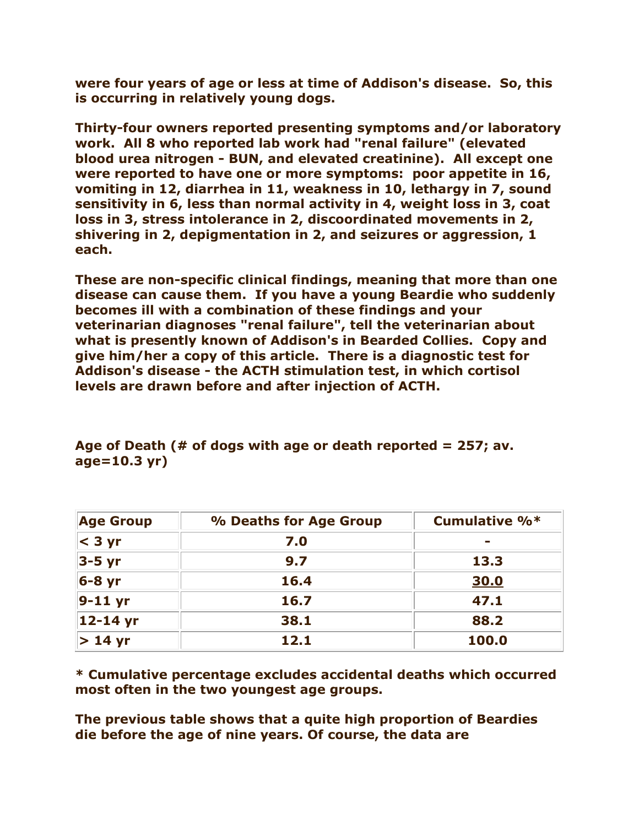**were four years of age or less at time of Addison's disease. So, this is occurring in relatively young dogs.**

**Thirty-four owners reported presenting symptoms and/or laboratory work. All 8 who reported lab work had "renal failure" (elevated blood urea nitrogen - BUN, and elevated creatinine). All except one were reported to have one or more symptoms: poor appetite in 16, vomiting in 12, diarrhea in 11, weakness in 10, lethargy in 7, sound sensitivity in 6, less than normal activity in 4, weight loss in 3, coat loss in 3, stress intolerance in 2, discoordinated movements in 2, shivering in 2, depigmentation in 2, and seizures or aggression, 1 each.**

**These are non-specific clinical findings, meaning that more than one disease can cause them. If you have a young Beardie who suddenly becomes ill with a combination of these findings and your veterinarian diagnoses "renal failure", tell the veterinarian about what is presently known of Addison's in Bearded Collies. Copy and give him/her a copy of this article. There is a diagnostic test for Addison's disease - the ACTH stimulation test, in which cortisol levels are drawn before and after injection of ACTH.**

| <b>Age Group</b> | % Deaths for Age Group | <b>Cumulative %*</b> |
|------------------|------------------------|----------------------|
| $<$ 3 yr         | 7.0                    | -                    |
| $3-5$ yr         | 9.7                    | 13.3                 |
| $6-8$ yr         | 16.4                   | 30.0                 |
| $ 9-11$ yr       | 16.7                   | 47.1                 |
| $12 - 14$ yr     | 38.1                   | 88.2                 |
| $> 14$ yr        | 12.1                   | 100.0                |

**Age of Death (# of dogs with age or death reported = 257; av. age=10.3 yr)**

**\* Cumulative percentage excludes accidental deaths which occurred most often in the two youngest age groups.**

**The previous table shows that a quite high proportion of Beardies die before the age of nine years. Of course, the data are**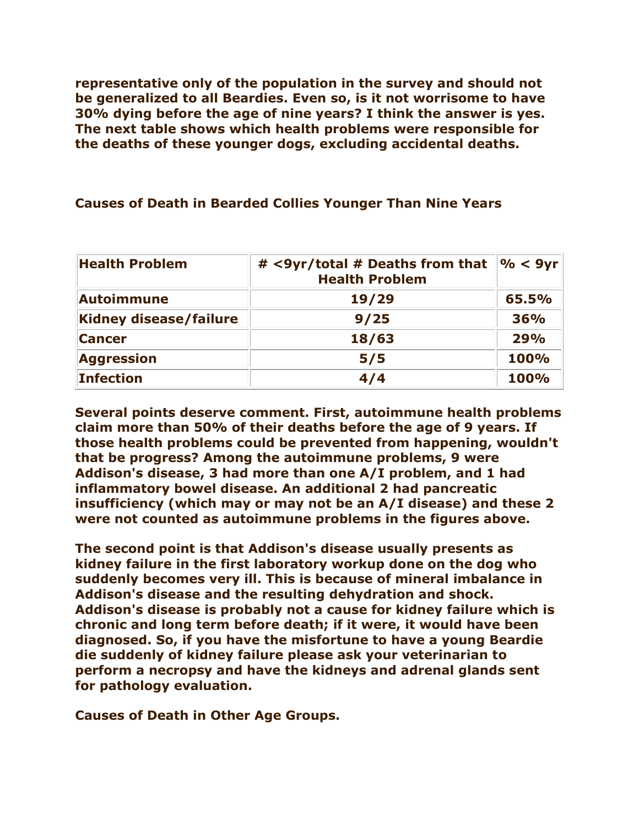**representative only of the population in the survey and should not be generalized to all Beardies. Even so, is it not worrisome to have 30% dying before the age of nine years? I think the answer is yes. The next table shows which health problems were responsible for the deaths of these younger dogs, excluding accidental deaths.**

#### **Causes of Death in Bearded Collies Younger Than Nine Years**

| <b>Health Problem</b>  | $\frac{9}{6}$ < 9yr<br># <9yr/total # Deaths from that<br><b>Health Problem</b> |       |
|------------------------|---------------------------------------------------------------------------------|-------|
| <b>Autoimmune</b>      | 19/29                                                                           | 65.5% |
| Kidney disease/failure | 9/25                                                                            | 36%   |
| <b>Cancer</b>          | 18/63                                                                           | 29%   |
| <b>Aggression</b>      | 5/5                                                                             | 100%  |
| <b>Infection</b>       | 4/4                                                                             | 100%  |

**Several points deserve comment. First, autoimmune health problems claim more than 50% of their deaths before the age of 9 years. If those health problems could be prevented from happening, wouldn't that be progress? Among the autoimmune problems, 9 were Addison's disease, 3 had more than one A/I problem, and 1 had inflammatory bowel disease. An additional 2 had pancreatic insufficiency (which may or may not be an A/I disease) and these 2 were not counted as autoimmune problems in the figures above.**

**The second point is that Addison's disease usually presents as kidney failure in the first laboratory workup done on the dog who suddenly becomes very ill. This is because of mineral imbalance in Addison's disease and the resulting dehydration and shock. Addison's disease is probably not a cause for kidney failure which is chronic and long term before death; if it were, it would have been diagnosed. So, if you have the misfortune to have a young Beardie die suddenly of kidney failure please ask your veterinarian to perform a necropsy and have the kidneys and adrenal glands sent for pathology evaluation.**

**Causes of Death in Other Age Groups.**